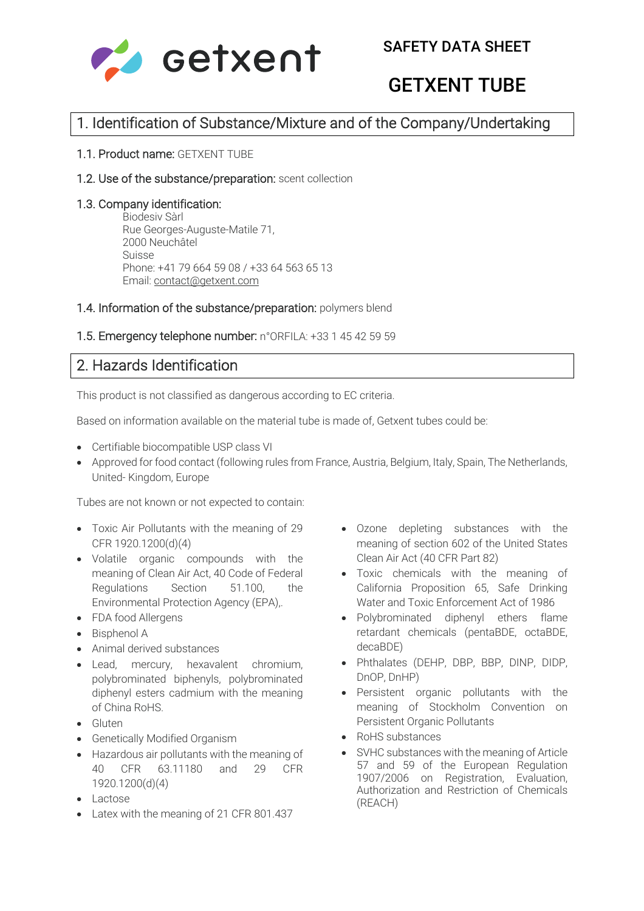

# GETXENT TUBE

## 1. Identification of Substance/Mixture and of the Company/Undertaking

### 1.1. Product name: GETXENT TUBE

### 1.2. Use of the substance/preparation: scent collection

### 1.3. Company identification:

Biodesiv Sàrl Rue Georges-Auguste-Matile 71, 2000 Neuchâtel Suisse Phone: +41 79 664 59 08 / +33 64 563 65 13 Email: contact@getxent.com

### 1.4. Information of the substance/preparation: polymers blend

### 1.5. Emergency telephone number: n°ORFILA: +33 1 45 42 59 59

### 2. Hazards Identification

This product is not classified as dangerous according to EC criteria.

Based on information available on the material tube is made of, Getxent tubes could be:

- Certifiable biocompatible USP class VI
- Approved for food contact (following rules from France, Austria, Belgium, Italy, Spain, The Netherlands, United- Kingdom, Europe

Tubes are not known or not expected to contain:

- Toxic Air Pollutants with the meaning of 29 CFR 1920.1200(d)(4)
- Volatile organic compounds with the meaning of Clean Air Act, 40 Code of Federal Regulations Section 51.100, the Environmental Protection Agency (EPA),.
- FDA food Allergens
- Bisphenol A
- Animal derived substances
- Lead, mercury, hexavalent chromium, polybrominated biphenyls, polybrominated diphenyl esters cadmium with the meaning of China RoHS.
- Gluten
- Genetically Modified Organism
- Hazardous air pollutants with the meaning of 40 CFR 63.11180 and 29 CFR 1920.1200(d)(4)
- Lactose
- Latex with the meaning of 21 CFR 801.437
- Ozone depleting substances with the meaning of section 602 of the United States Clean Air Act (40 CFR Part 82)
- Toxic chemicals with the meaning of California Proposition 65, Safe Drinking Water and Toxic Enforcement Act of 1986
- Polybrominated diphenyl ethers flame retardant chemicals (pentaBDE, octaBDE, decaBDE)
- Phthalates (DEHP, DBP, BBP, DINP, DIDP, DnOP, DnHP)
- Persistent organic pollutants with the meaning of Stockholm Convention on Persistent Organic Pollutants
- RoHS substances
- SVHC substances with the meaning of Article 57 and 59 of the European Regulation 1907/2006 on Registration, Evaluation, Authorization and Restriction of Chemicals (REACH)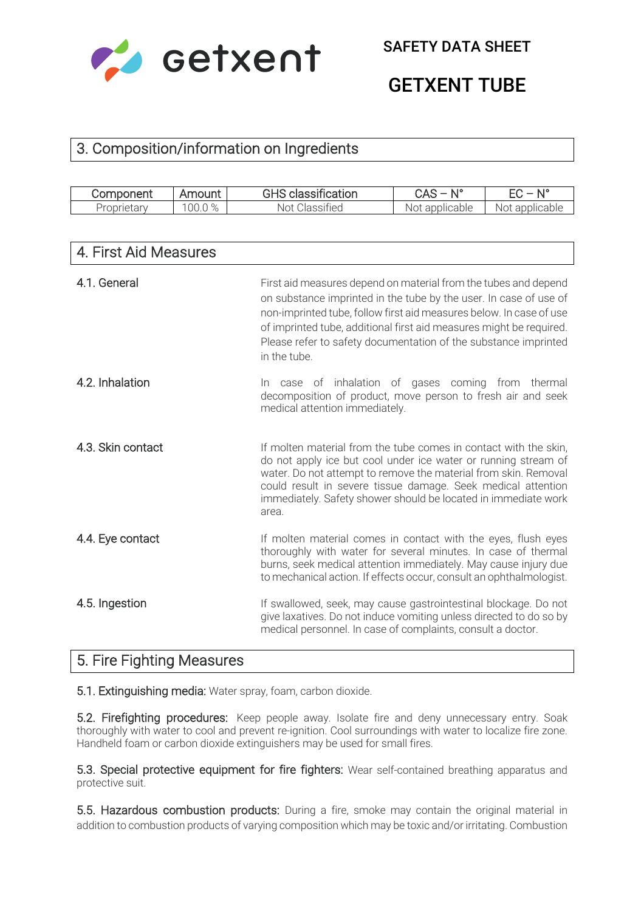

GETXENT TUBE

## 3. Composition/information on Ingredients

| ,,,,,<br>Compo<br>чені            | $\sim$<br>JUI<br>- н<br>. .<br>÷. | $\cdot$ $\cdot$<br>$\sim$<br>ation<br>$\sim$ . The set of $\sim$   | n<br>しへ                  | $A$ 10<br>ורו |
|-----------------------------------|-----------------------------------|--------------------------------------------------------------------|--------------------------|---------------|
| $\sim$ $\mu$<br>opr<br>ΤΑ<br>15.1 | $\cap$ $\circ$<br>00.C            | $\cdot$ $\sim$<br><b>NOT</b><br>$\Delta \cap$<br><u>UIASSIH</u> EU | cable<br>onn<br>NΟ<br>r. | ING.          |

| 4. First Aid Measures |                                                                                                                                                                                                                                                                                                                                                                       |
|-----------------------|-----------------------------------------------------------------------------------------------------------------------------------------------------------------------------------------------------------------------------------------------------------------------------------------------------------------------------------------------------------------------|
| 4.1. General          | First aid measures depend on material from the tubes and depend<br>on substance imprinted in the tube by the user. In case of use of<br>non-imprinted tube, follow first aid measures below. In case of use<br>of imprinted tube, additional first aid measures might be required.<br>Please refer to safety documentation of the substance imprinted<br>in the tube. |
| 4.2. Inhalation       | In case of inhalation of gases coming from thermal<br>decomposition of product, move person to fresh air and seek<br>medical attention immediately.                                                                                                                                                                                                                   |
| 4.3. Skin contact     | If molten material from the tube comes in contact with the skin,<br>do not apply ice but cool under ice water or running stream of<br>water. Do not attempt to remove the material from skin. Removal<br>could result in severe tissue damage. Seek medical attention<br>immediately. Safety shower should be located in immediate work<br>area.                      |
| 4.4. Eye contact      | If molten material comes in contact with the eyes, flush eyes<br>thoroughly with water for several minutes. In case of thermal<br>burns, seek medical attention immediately. May cause injury due<br>to mechanical action. If effects occur, consult an ophthalmologist.                                                                                              |
| 4.5. Ingestion        | If swallowed, seek, may cause gastrointestinal blockage. Do not<br>give laxatives. Do not induce vomiting unless directed to do so by<br>medical personnel. In case of complaints, consult a doctor.                                                                                                                                                                  |

## 5. Fire Fighting Measures

5.1. Extinguishing media: Water spray, foam, carbon dioxide.

5.2. Firefighting procedures: Keep people away. Isolate fire and deny unnecessary entry. Soak thoroughly with water to cool and prevent re-ignition. Cool surroundings with water to localize fire zone. Handheld foam or carbon dioxide extinguishers may be used for small fires.

5.3. Special protective equipment for fire fighters: Wear self-contained breathing apparatus and protective suit.

5.5. Hazardous combustion products: During a fire, smoke may contain the original material in addition to combustion products of varying composition which may be toxic and/or irritating. Combustion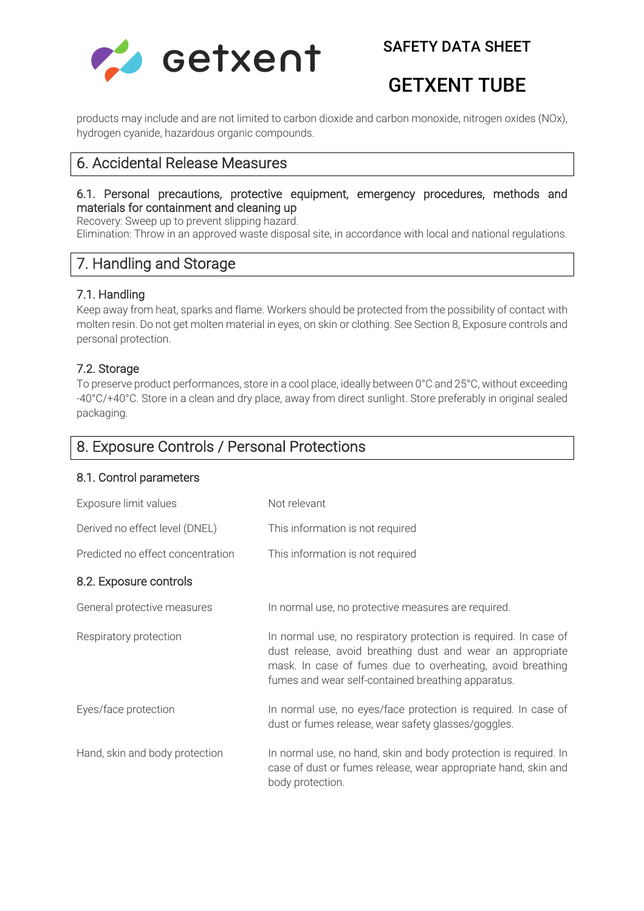

## SAFETY DATA SHEET

## GETXENT TUBE

products may include and are not limited to carbon dioxide and carbon monoxide, nitrogen oxides (NOx), hydrogen cyanide, hazardous organic compounds.

### 6. Accidental Release Measures

### 6.1. Personal precautions, protective equipment, emergency procedures, methods and materials for containment and cleaning up

Recovery: Sweep up to prevent slipping hazard.

Elimination: Throw in an approved waste disposal site, in accordance with local and national regulations.

## 7. Handling and Storage

### 7.1. Handling

Keep away from heat, sparks and flame. Workers should be protected from the possibility of contact with molten resin. Do not get molten material in eyes, on skin or clothing. See Section 8, Exposure controls and personal protection.

### 7.2. Storage

To preserve product performances, store in a cool place, ideally between 0°C and 25°C, without exceeding -40°C/+40°C. Store in a clean and dry place, away from direct sunlight. Store preferably in original sealed packaging.

## 8. Exposure Controls / Personal Protections

### 8.1. Control parameters

| Exposure limit values             | Not relevant                                                                                                                                                                                                                                       |
|-----------------------------------|----------------------------------------------------------------------------------------------------------------------------------------------------------------------------------------------------------------------------------------------------|
| Derived no effect level (DNEL)    | This information is not required                                                                                                                                                                                                                   |
| Predicted no effect concentration | This information is not required                                                                                                                                                                                                                   |
| 8.2. Exposure controls            |                                                                                                                                                                                                                                                    |
| General protective measures       | In normal use, no protective measures are required.                                                                                                                                                                                                |
| Respiratory protection            | In normal use, no respiratory protection is required. In case of<br>dust release, avoid breathing dust and wear an appropriate<br>mask. In case of fumes due to overheating, avoid breathing<br>fumes and wear self-contained breathing apparatus. |
| Eyes/face protection              | In normal use, no eyes/face protection is required. In case of<br>dust or fumes release, wear safety glasses/goggles.                                                                                                                              |
| Hand, skin and body protection    | In normal use, no hand, skin and body protection is required. In<br>case of dust or fumes release, wear appropriate hand, skin and<br>body protection.                                                                                             |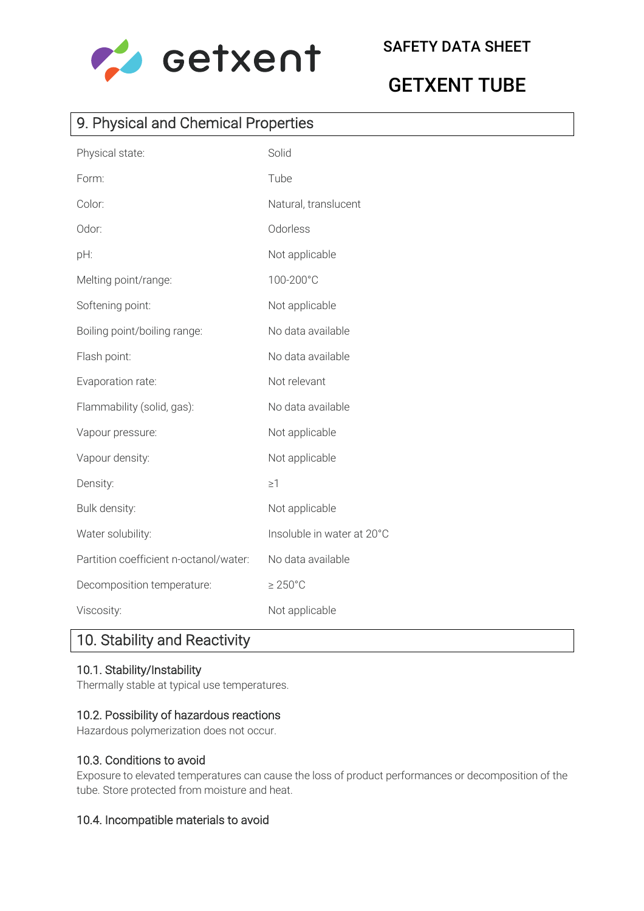

# GETXENT TUBE

## 9. Physical and Chemical Properties

| Physical state:                        | Solid                      |
|----------------------------------------|----------------------------|
| Form:                                  | Tube                       |
| Color:                                 | Natural, translucent       |
| Odor:                                  | Odorless                   |
| pH:                                    | Not applicable             |
| Melting point/range:                   | 100-200°C                  |
| Softening point:                       | Not applicable             |
| Boiling point/boiling range:           | No data available          |
| Flash point:                           | No data available          |
| Evaporation rate:                      | Not relevant               |
| Flammability (solid, gas):             | No data available          |
| Vapour pressure:                       | Not applicable             |
| Vapour density:                        | Not applicable             |
| Density:                               | $\geq$ 1                   |
| Bulk density:                          | Not applicable             |
| Water solubility:                      | Insoluble in water at 20°C |
| Partition coefficient n-octanol/water: | No data available          |
| Decomposition temperature:             | $\geq 250^{\circ}$ C       |
| Viscosity:                             | Not applicable             |

## 10. Stability and Reactivity

### 10.1. Stability/Instability

Thermally stable at typical use temperatures.

### 10.2. Possibility of hazardous reactions

Hazardous polymerization does not occur.

### 10.3. Conditions to avoid

Exposure to elevated temperatures can cause the loss of product performances or decomposition of the tube. Store protected from moisture and heat.

### 10.4. Incompatible materials to avoid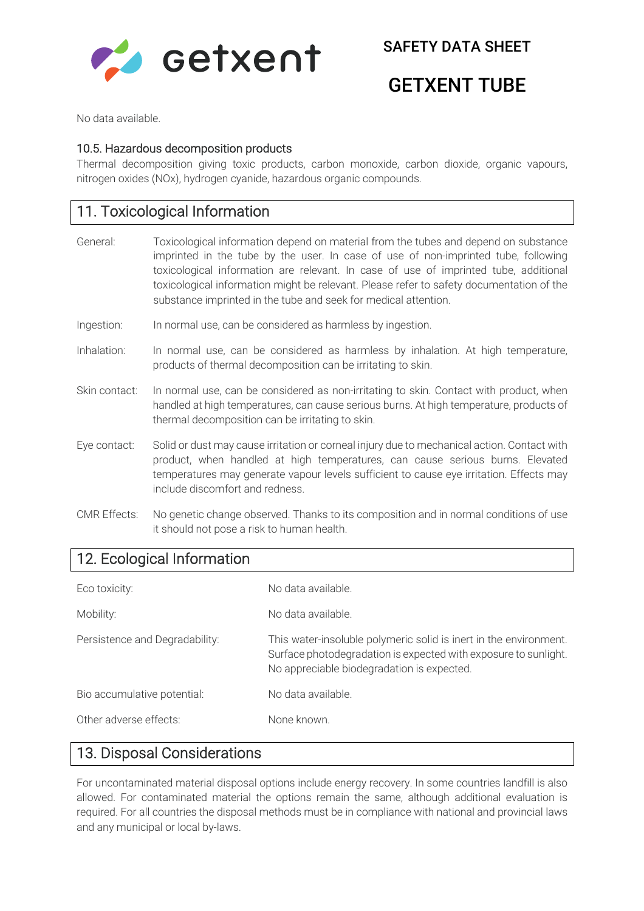

SAFETY DATA SHEET

## GETXENT TUBE

No data available.

#### 10.5. Hazardous decomposition products

Thermal decomposition giving toxic products, carbon monoxide, carbon dioxide, organic vapours, nitrogen oxides (NOx), hydrogen cyanide, hazardous organic compounds.

## 11. Toxicological Information

- General: Toxicological information depend on material from the tubes and depend on substance imprinted in the tube by the user. In case of use of non-imprinted tube, following toxicological information are relevant. In case of use of imprinted tube, additional toxicological information might be relevant. Please refer to safety documentation of the substance imprinted in the tube and seek for medical attention.
- Ingestion: In normal use, can be considered as harmless by ingestion.
- Inhalation: In normal use, can be considered as harmless by inhalation. At high temperature, products of thermal decomposition can be irritating to skin.
- Skin contact: In normal use, can be considered as non-irritating to skin. Contact with product, when handled at high temperatures, can cause serious burns. At high temperature, products of thermal decomposition can be irritating to skin.
- Eye contact: Solid or dust may cause irritation or corneal injury due to mechanical action. Contact with product, when handled at high temperatures, can cause serious burns. Elevated temperatures may generate vapour levels sufficient to cause eye irritation. Effects may include discomfort and redness.
- CMR Effects: No genetic change observed. Thanks to its composition and in normal conditions of use it should not pose a risk to human health.

## 12. Ecological Information

| Eco toxicity:                  | No data available.                                                                                                                                                                 |
|--------------------------------|------------------------------------------------------------------------------------------------------------------------------------------------------------------------------------|
| Mobility:                      | No data available.                                                                                                                                                                 |
| Persistence and Degradability: | This water-insoluble polymeric solid is inert in the environment.<br>Surface photodegradation is expected with exposure to sunlight.<br>No appreciable biodegradation is expected. |
| Bio accumulative potential:    | No data available.                                                                                                                                                                 |
| Other adverse effects:         | None known.                                                                                                                                                                        |

### 13. Disposal Considerations

For uncontaminated material disposal options include energy recovery. In some countries landfill is also allowed. For contaminated material the options remain the same, although additional evaluation is required. For all countries the disposal methods must be in compliance with national and provincial laws and any municipal or local by-laws.